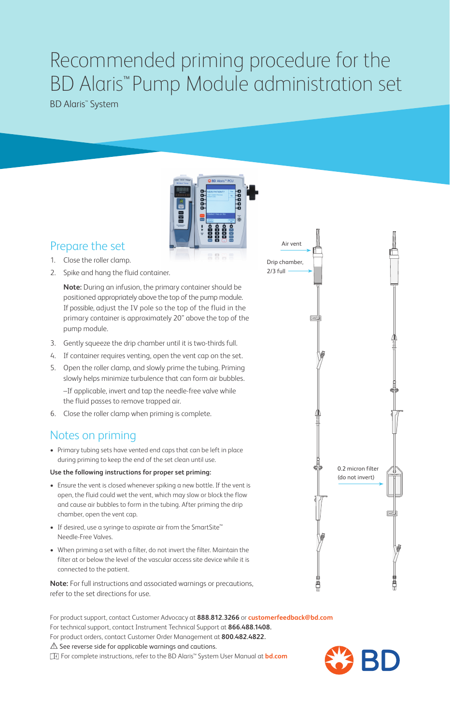# Recommended priming procedure for the BD Alaris™ Pump Module administration set

**BD Alaris<sup>™</sup> System** 



### Prepare the set

- 1. Close the roller clamp.
- 2. Spike and hang the fluid container.

 **Note:** During an infusion, the primary container should be positioned appropriately above the top of the pump module. If possible, adjust the IV pole so the top of the fluid in the primary container is approximately 20" above the top of the pump module.

- 3. Gently squeeze the drip chamber until it is two-thirds full.
- 4. If container requires venting, open the vent cap on the set.
- 5. Open the roller clamp, and slowly prime the tubing. Priming slowly helps minimize turbulence that can form air bubbles. –If applicable, invert and tap the needle-free valve while the fluid passes to remove trapped air.
- 6. Close the roller clamp when priming is complete.

### Notes on priming

• Primary tubing sets have vented end caps that can be left in place during priming to keep the end of the set clean until use.

### **Use the following instructions for proper set priming:**

- Ensure the vent is closed whenever spiking a new bottle. If the vent is open, the fluid could wet the vent, which may slow or block the flow and cause air bubbles to form in the tubing. After priming the drip chamber, open the vent cap.
- If desired, use a syringe to aspirate air from the SmartSite™ Needle-Free Valves.
- When priming a set with a filter, do not invert the filter. Maintain the filter at or below the level of the vascular access site device while it is connected to the patient.

**Note:** For full instructions and associated warnings or precautions, refer to the set directions for use.

For product support, contact Customer Advocacy at **888.812.3266** or **customerfeedback@bd.com** For technical support, contact Instrument Technical Support at **866.488.1408.** For product orders, contact Customer Order Management at **800.482.4822.**  $\triangle$  See reverse side for applicable warnings and cautions. For complete instructions, refer to the BD Alaris™ System User Manual at **bd.com**



![](_page_0_Picture_20.jpeg)